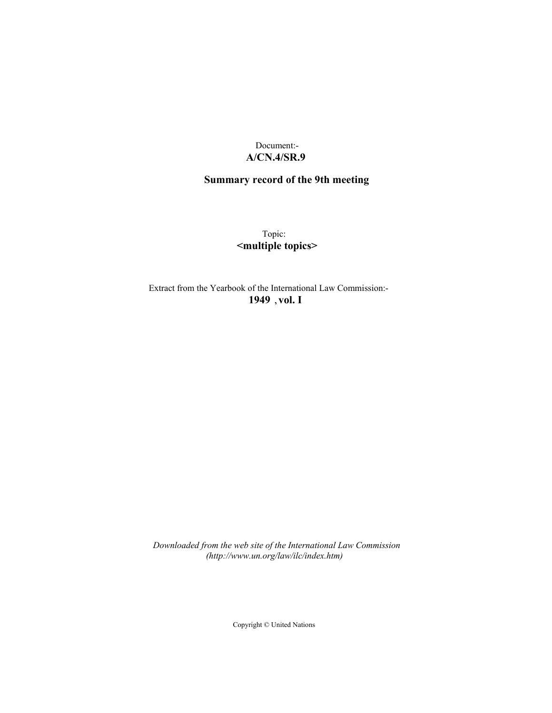## Document:- **A/CN.4/SR.9**

# **Summary record of the 9th meeting**

Topic: **<multiple topics>**

Extract from the Yearbook of the International Law Commission:- **1949** ,**vol. I**

*Downloaded from the web site of the International Law Commission (http://www.un.org/law/ilc/index.htm)*

Copyright © United Nations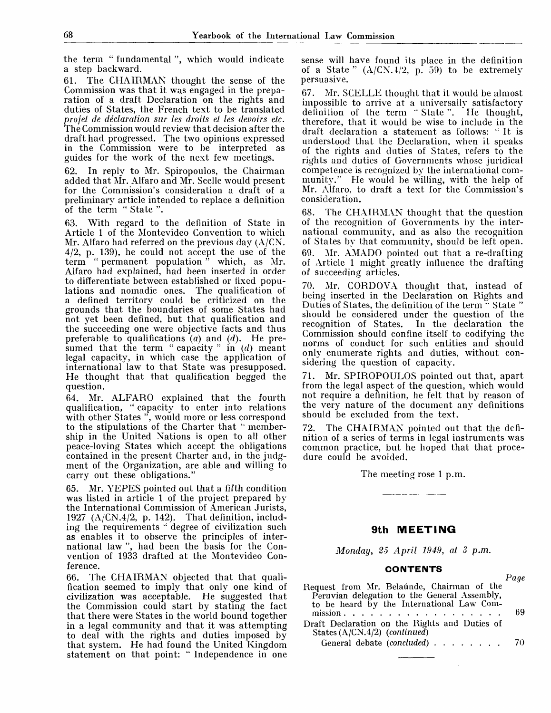the term " fundamental ", which would indicate a step backward.

61. The CHAIRMAN thought the sense of the Commission was that it was engaged in the preparation of a draft Declaration on the rights and duties of States, the French text to be translated *projel de declaration sur les droits et les devoirs etc.* The Commission would review that decision after the draft had progressed. The two opinions expressed in the Commission were to be interpreted as guides for the work of the next few meetings.

62. In reply to Mr. Spiropoulos, the Chairman added that Mr. Alfaro and Mr. Scelle would present for the Commission's consideration a draft of a preliminary article intended to replace a definition of the term " State ".

63. With regard to the definition of State in Article 1 of the Montevideo Convention to which Mr. Alfaro had referred on the previous day  $(A/CN)$ .  $4/2$ , p. 139), he could not accept the use of the term " permanent population " which, as Mr. Alfaro had explained, had been inserted in order to differentiate between established or fixed populations and nomadic ones. The qualification of a defined territory could be criticized on the grounds that the boundaries of some States had not yet been defined, but that qualification and the succeeding one were objective facts and thus preferable to qualifications (a) and *(d).* He presumed that the term " capacity " in *(d)* meant legal capacity, in which case the application of international law to that State was presupposed. He thought that that qualification begged the question.

64. Mr. ALFARO explained that the fourth qualification, " capacity to enter into relations with other States ", would more or less correspond to the stipulations of the Charter that '" membership in the United Nations is open to all other peace-loving States which accept the obligations contained in the present Charter and, in the judgment of the Organization, are able and willing to carry out these obligations."

65. Mr. YEPES pointed out that a fifth condition was listed in article 1 of the project prepared by the International Commission of American Jurists, 1927 (A/CN.4/2, p. 142). That definition, including the requirements " degree of civilization such as enables it to observe the principles of international law ", had been the basis for the Convention of 1933 drafted at the Montevideo Conference.

66. The CHAIRMAN objected that that qualification seemed to imply that only one kind of civilization was acceptable. He suggested that the Commission could start by stating the fact that there were States in the world bound together in a legal community and that it was attempting to deal with the rights and duties imposed by that system. He had found the United Kingdom statement on that point: " Independence in one

sense will have found its place in the definition of a State "  $(A/CN, 1/2, p. 59)$  to be extremely persuasive.

67. Mr. SCELLE thought that it would be almost impossible to arrive at a universally satisfactory definition of the term "State". He thought, therefore, that it would be wise to include in the draft declaration a statement as follows: : It is understood that the Declaration, when it speaks of the rights and duties of States, refers to the rights and duties of Governments whose juridical competence is recognized by the international community." He would be willing, with the help of Mr. Alfaro, to draft a text for the Commission's consideration.

68. The CHAIRMAN thought that the question of the recognition of Governments by the international community, and as also the recognition of States by that community, should be left open. 69. Mr. AMADO pointed out that a re-drafting of Article 1 might greatly influence the drafting of succeeding articles.

Mr. CORDOVA thought that, instead of being inserted in the Declaration on Rights and Duties of States, the definition of the term<sup>"</sup> State ' should be considered under the question of the recognition of States. In the declaration the In the declaration the Commission should confine itself to codifying the norms of conduct for such entities and should only enumerate rights and duties, without considering the question of capacity.

71. Mr. SPIROPOULOS pointed out that, apart from the legal aspect of the question, which would not require a definition, he felt that by reason of the very nature of the document any definitions should be excluded from the text.

72. The CHAIRMAN pointed out that the definition of a series of terms in legal instruments was common practice, but he hoped that that procedure could be avoided.

The meeting rose 1 p.m.

### **9th MEETING**

*Monday, 25 April 1949, at 3 p.m.*

#### **CONTENTS**

*Page*

|                                               | t uut |
|-----------------------------------------------|-------|
| Request from Mr. Belaúnde, Chairman of the    |       |
| Peruvian delegation to the General Assembly,  |       |
| to be heard by the International Law Com-     |       |
| mission.                                      | -69   |
| Draft Declaration on the Rights and Duties of |       |
| States $(A/CN.4/2)$ (continued)               |       |
| General debate (concluded) 70                 |       |
|                                               |       |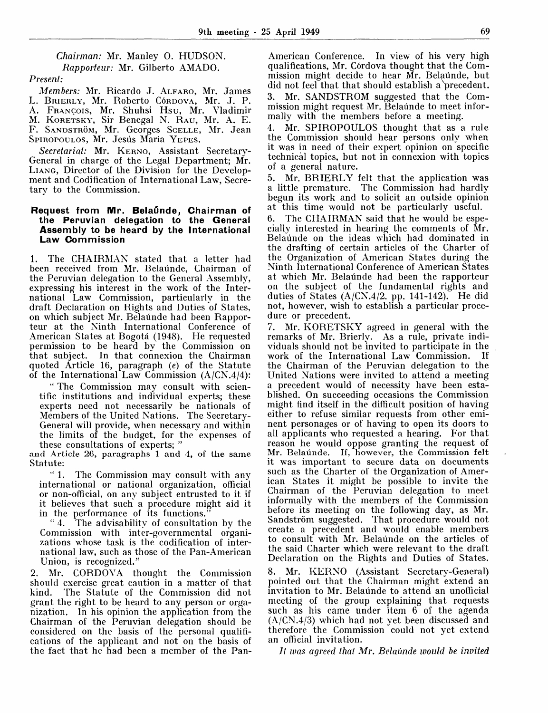*Chairman:* Mr. Manley 0. HUDSON. *Rapporteur:* Mr. Gilberto AMADO.

## *Present:*

*Members:* Mr. Ricardo J. ALFARO, Mr. James L. BRIERLY, Mr. Roberto Córdova, Mr. J. P. A. FRANCOIS, Mr. Shuhsi Hsu, Mr. Vladimir M. KORETSKY, Sir Benegal N. RAU, Mr. A. E. F. SANDSTRÖM, Mr. Georges SCELLE, Mr. Jean SPIROPOULOS, Mr. Jesús María YEPES.

*Secretariat:* Mr. KERNO, Assistant Secretary-General in charge of the Legal Department; Mr. LIANG, Director of the Division for the Development and Codification of International Law, Secretary to the Commission.

#### **Request from Mr. Belaunde, Chairman of the Peruvian delegation to the General Assembly to be heard by the International Law Commission**

1. The CHAIRMAN stated that a letter had been received from Mr. Belaunde, Chairman of the Peruvian delegation to the General Assembly, expressing his interest in the work of the International Law Commission, particularly in the draft Declaration on Rights and Duties of States, on which subject Mr. Belaunde had been Rapporteur at the Ninth International Conference of American States at Bogota (1948). He requested permission to be heard by the Commission on that subject. In that connexion the Chairman quoted Article 16, paragraph *(e)* of the Statute of the International Law Commission  $(A/CN.4/4)$ :

" The Commission may consult with scientific institutions and individual experts; these experts need not necessarily be nationals of Members of the United Nations. The Secretary-General will provide, when necessary and within the limits of the budget, for the expenses of these consultations of experts; "

and Article 26, paragraphs 1 and 4, of the same Statute:

" 1. The Commission may consult with any international or national organization, official or non-official, on any subject entrusted to it if it believes that such a procedure might aid it in the performance of its functions."

" 4. The advisability of consultation by the Commission with inter-governmental organizations whose task is the codification of international law, such as those of the Pan-American Union, is recognized."

2. Mr. CORDOVA thought the Commission should exercise great caution in a matter of that kind. The Statute of the Commission did not grant the right to be heard to any person or organization. In his opinion the application from the Chairman of the Peruvian delegation should be considered on the basis of the personal qualifications of the applicant and not on the basis of the fact that he had been a member of the Pan-

American Conference. In view of his very high qualifications, Mr. Córdova thought that the Commission might decide to hear Mr. Belaunde, but did not feel that that should establish a precedent. 3. Mr. SANDSTROM suggested that the Commission might request Mr. Belaunde to meet informally with the members before a meeting.

4. Mr. SPIROPOULOS thought that as a rule the Commission should hear persons only when it was in need of their expert opinion on specific technical topics, but not in connexion with topics of a general nature.

5. Mr. BRIERLY felt that the application was a little premature. The Commission had hardly begun its work and to solicit an outside opinion at this time would not be particularly useful.

6. The CHAIRMAN said that he would be especially interested in hearing the comments of Mr. Belaunde on the ideas which had dominated in the drafting of certain articles of the Charter of the Organization of American States during the Ninth international Conference of American States at which Mr. Belaunde had been the rapporteur on the subject of the fundamental rights and duties of States  $(A/CN.4/2.$  pp. 141-142). He did not, however, wish to establish a particular procedure or precedent.

7. Mr. KORETSKY agreed in general with the remarks of Mr. Brierly. As a rule, private individuals should not be invited to participate in the work of the International Law Commission. If the Chairman of the Peruvian delegation to the United Nations were invited to attend a meeting a precedent would of necessity have been established. On succeeding occasions the Commission might find itself in the difficult position of having either to refuse similar requests from other eminent personages or of having to open its doors to all applicants who requested a hearing. For that reason he would oppose granting the request of Mr. Belaunde. If, however, the Commission felt it was important to secure data on documents such as the Charter of the Organization of American States it might be possible to invite the Chairman of the Peruvian delegation to meet informally with the members of the Commission before its meeting on the following day, as Mr. Sandström suggested. That procedure would not create a precedent and would enable members to consult with Mr. Belaunde on the articles of the said Charter which were relevant to the draft Declaration on the Rights and Duties of States.

8. Mr. KERNO (Assistant Secretary-General) pointed out that the Chairman might extend an invitation to Mr. Belaunde to attend an unofficial meeting of the group explaining that requests such as his came under item 6 of the agenda (A/CN.4/3) which had not yet been discussed and therefore the Commission could not yet extend an official invitation.

// *was agreed that Mr. Belaunde would be invited*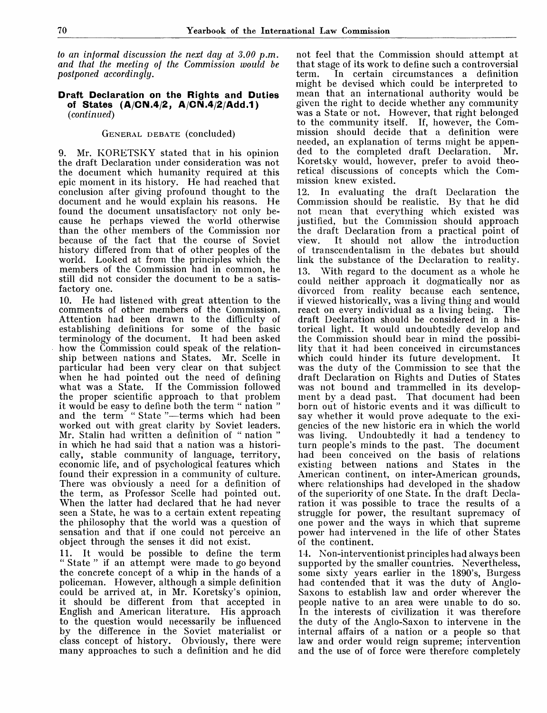*to an informal discussion the next day at 3.00 p.m. and that the meeting of the Commission would be postponed accordingly.*

#### **Draft Declaration on the Rights and Duties of States (A/CIM.4/2, A/CN.4 2/Add.1)** *(continued)*

## GENERAL DEBATE (concluded)

9. Mr. KORETSKY stated that in his opinion the draft Declaration under consideration was not the document which humanity required at this epic moment in its history. He had reached that conclusion after giving profound thought to the document and he would explain his reasons. He found the document unsatisfactory not only because he perhaps viewed the world otherwise than the other members of the Commission nor because of the fact that the course of Soviet history differed from that of other peoples of the world. Looked at from the principles which the members of the Commission had in common, he still did not consider the document to be a satisfactory one.

10. He had listened with great attention to the comments of other members of the Commission. Attention had been drawn to the difficulty of establishing definitions for some of the basic terminology of the document. It had been asked how the Commission could speak of the relationship between nations and States. Mr. Scelle in particular had been very clear on that subject when he had pointed out the need of defining what was a State. If the Commission followed the proper scientific approach to that problem it would be easy to define both the term " nation " and the term " State "—terms which had been worked out with great clarity by Soviet leaders. Mr. Stalin had written a definition of " nation " in which he had said that a nation was a historically, stable community of language, territory, economic life, and of psychological features which found their expression in a community of culture. There was obviously a need for a definition of the term, as Professor Scelle had pointed out. When the latter had declared that he had never seen a State, he was to a certain extent repeating the philosophy that the world was a question of sensation and that if one could not perceive an object through the senses it did not exist.

11. It would be possible to define the term " State " if an attempt were made to go beyond the concrete concept of a whip in the hands of a policeman. However, although a simple definition could be arrived at, in Mr. Koretsky's opinion, it should be different from that accepted in English and American literature. His approach to the question would necessarily be influenced by the difference in the Soviet materialist or class concept of history. Obviously, there were many approaches to such a definition and he did

not feel that the Commission should attempt at that stage of its work to define such a controversial In certain circumstances a definition might be devised which could be interpreted to mean that an international authority would be given the right to decide whether any community was a State or not. However, that right belonged to the community itself. If, however, the Commission should decide that a definition were needed, an explanation of terms might be appended to the completed draft Declaration. Mr. Koretsky would, however, prefer to avoid theoretical discussions of concepts which the Commission knew existed.

12. In evaluating the draft Declaration the Commission should be realistic. By that he did not mean that everything which existed was justified, but the Commission should approach the draft Declaration from a practical point of view. It should not allow the introduction of transcendentalism in the debates but should link the substance of the Declaration to reality. 13. With regard to the document as a whole he could neither approach it dogmatically nor as divorced from reality because each sentence, if viewed historically, was a living thing and would react on every individual as a living being. The draft Declaration should be considered in a historical light. It would undoubtedly develop and the Commission should bear in mind the possibility that it had been conceived in circumstances which could hinder its future development. It was the duty of the Commission to see that the draft Declaration on Rights and Duties of States was not bound and trammelled in its development by a dead past. That document had been born out of historic events and it was difficult to say whether it would prove adequate to the exigencies of the new historic era in which the world was living. Undoubtedly it had a tendency to turn people's minds to the past. The document had been conceived on the basis of relations existing between nations and States in the American continent, on inter-American grounds, where relationships had developed in the shadow of the superiority of one State. In the draft Declaration it was possible to trace the results of a struggle for power, the resultant supremacy of one power and the ways in which that supreme power had intervened in the life of other States of the continent.

14. Non-interventionist principles had always been supported by the smaller countries. Nevertheless, some sixty years earlier in the 1890's, Burgess had contended that it was the duty of Anglo-Saxons to establish law and order wherever the people native to an area were unable to do so. In the interests of civilization it was therefore the duty of the Anglo-Saxon to intervene in the internal affairs of a nation or a people so that law and order would reign supreme; intervention and the use of of force were therefore completely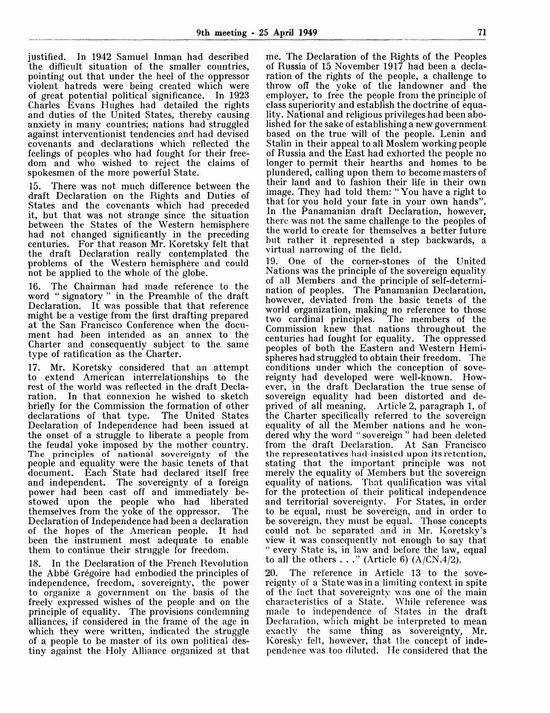justified. In 1942 Samuel Inman had described the difficult situation of the smaller countries, pointing out that under the heel of the oppressor violent hatreds were being created which were of great potential political significance. In 1923 Charles Evans Hughes had detailed the rights and duties of the United States, thereby causing anxiety in many countries; nations had struggled against interventionist tendencies and had devised covenants and declarations which reflected the feelings of peoples who had fought for their freedom and who wished to reject the claims of spokesmen of the more powerful State.

15. There was not much difference between the draft Declaration on the Rights and Duties of States and the covenants which had preceded it, but that was not strange since the situation between the States of the Western hemisphere had not changed significantly in the preceding centuries. For that reason Mr. Koretsky felt that the draft Declaration really contemplated the problems of the Western hemisphere and could not be applied to the whole of the globe.

16. The Chairman had made reference to the word " signatory " in the Preamble of the draft Declaration. It was possible that that reference might be a vestige from the first drafting prepared at the San Francisco Conference when the document had been intended as an annex to the Charter and consequently subject to the same type of ratification as the Charter.

17. Mr. Koretsky considered that an attempt to extend American interrelationships to the rest of the world was reflected in the draft Decla-<br>ration. In that connexion he wished to sketch In that connexion he wished to sketch briefly for the Commission the formation of other declarations of that type. The United States declarations of that type. Declaration of Independence had been issued at the onset of a struggle to liberate a people from the feudal yoke imposed by the mother country. The principles of national sovereignty of the people and equality were the basic tenets of that document. Each State had declared itself free and independent. The sovereignty of a foreign power had been cast off and immediately bestowed upon the people who had liberated themselves from the yoke of the oppressor. The Declaration of Independence had been a declaration of the hopes of the American people. It had been the instrument most adequate to enable them to continue their struggle for freedom.

18. In the Declaration of the French Revolution the Abbe Gregoire had embodied the principles of independence, freedom, sovereignty, the power to organize a government on the basis of the freely expressed wishes of the people and on the principle of equality. The provisions condemning alliances, if considered in the frame of the age in which they were written, indicated the struggle of a people to be master of its own political destiny against the Holy Alliance organized at that me. The Declaration of the Rights of the Peoples of Russia of 15 November 1917 had been a declaration of the rights of the people, a challenge to throw off the yoke of the landowner and the employer, to free the people from the principle of class superiority and establish the doctrine of equality. National and religious privileges had been abolished for the sake of establishing a new government based on the true will of the people. Lenin and Stalin in their appeal to all Moslem working people of Russia and the East had exhorted the people no longer to permit their hearths and homes to be plundered, calling upon them to become masters of their land and to fashion their life in their own image. They had told them: " You have a right to that for you hold your fate in your own hands". In the Panamanian draft Declaration, however, there was not the same challenge to the peoples of the world to create for themselves a better future but rather it represented a step backwards, a virtual narrowing of the field.

19. One of the corner-stones of the United Nations was the principle of the sovereign equality of all Members and the principle of self-determination of peoples. The Panamanian Declaration, however, deviated from the basic tenets of the world organization, making no reference to those two cardinal principles. The members of the Commission knew that nations throughout the centuries had fought for equality. The oppressed peoples of both the Eastern and Western Hemispheres had struggled to obtain their freedom. The conditions under which the conception of sovereignty had developed were well-known. However, in the draft Declaration the true sense of sovereign equality had been distorted and deprived of all meaning. Article 2, paragraph 1, of the Charter specifically referred to the sovereign equality of all the Member nations and he wondered why the word "sovereign" had been deleted<br>from the draft Declaration. At San Francisco from the draft Declaration. the representatives had insisted upon its retention, stating that the important principle was not merely the equality of Members but the sovereign equality of nations. That qualification was vital for the protection of their political independence and territorial sovereignty. For States, in order to be equal, must be sovereign, and in order to be sovereign, they must be equal. Those concepts could not be separated and in Mr. Koretsky's view it was consequently not enough to say that " every State is, in law and before the law, equal to all the others  $\ldots$  " (Article 6) (A/CN.4/2).

20. The reference in Article 13 to the sovereignty of a State was in a limiting context in spite of the fact that sovereignty was one of the main characteristics of a State. While reference was characteristics of a State. made to independence of States in the draft Declaration, which might be interpreted to mean exactly the same thing as sovereignty, Mr. Koresky felt, however, that the concept of independence was too diluted. He considered that the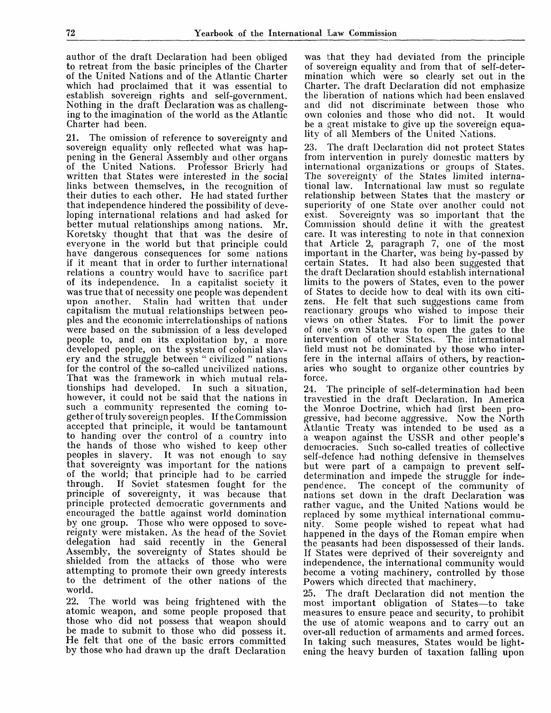author of the draft Declaration had been obliged to retreat from the basic principles of the Charter of the United Nations and of the Atlantic Charter which had proclaimed that it was essential to establish sovereign rights and self-government. Nothing in the draft Declaration was as challenging to the imagination of the world as the Atlantic Charter had been.

21. The omission of reference to sovereignty and sovereign equality only reflected what was happening in the General Assembly and other organs of the United Nations. Professor Brierly had written that States were interested in the social links between themselves, in the recognition of their duties to each other. He had stated further that independence hindered the possibility of developing international relations and had asked for better mutual relationships among nations. Mr. Koretsky thought that that was the desire of everyone in the world but that principle could have dangerous consequences for some nations if it meant that in order to further international relations a country would have to sacrifice part of its independence. In a capitalist society it was true that of necessity one people was dependent Stalin had written that under capitalism the mutual relationships between peoples and the economic interrelationships of nations were based on the submission of a less developed people to, and on its exploitation by, a more developed people, on the system of colonial slavery and the struggle between " civilized " nations for the control of the so-called uncivilized nations. That was the framework in which mutual relationships had developed. however, it could not be said that the nations in such a community represented the coming together of truly sovereign peoples. If the Commission accepted that principle, it would be tantamount to handing over the' control of a country into the hands of those who wished to keep other peoples in slavery. It was not enough to say that sovereignty was important for the nations of the world; that principle had to be carried If Soviet statesmen fought for the principle of sovereignty, it was because that principle protected democratic governments and encouraged the battle against world domination by one group. Those who were opposed to sovereignty were mistaken. As the head of the Soviet delegation had said recently in the General Assembly, the sovereignty of States should be shielded from the attacks of those who were attempting to promote their own greedy interests to the detriment of the other nations of the world.

22. The world was being frightened with the atomic weapon, and some people proposed that those who did not possess that weapon should be made to submit to those who did possess it. He felt that one of the basic errors committed by those who had drawn up the draft Declaration

was that they had deviated from the principle of sovereign equality and from that of self-determination which were so clearly set out in the Charter. The draft Declaration did not emphasize the liberation of nations which had been enslaved and did not discriminate between those who own colonies and those who did not. It would be a great mistake to give up the sovereign equality of all Members of the United Nations.

23. The draft Declaration did not protect States from intervention in purely domestic matters by international organizations or groups of States. The sovereignty of the States limited interna-<br>tional law. International law must so regulate International law must so regulate relationship between States that the mastery or superiority of one State over another could not exist. Sovereignty was so important that the Commission should define it with the greatest care. It was interesting to note in that connexion that Article 2, paragraph 7, one of the most important in the Charter, was being by-passed by certain States. It had also been suggested that the draft Declaration should establish international limits to the powers of States, even to the power of States to decide how to deal with its own citizens. He felt that such suggestions came from reactionary groups who wished to impose their views on other States. For to limit the power of one's own State was to open the gates to the intervention of other States. The international field must not be dominated by those who interfere in the internal affairs of others, by reactionaries who sought to organize other countries by force.

24. The principle of self-determination had been travestied in the draft Declaration. In America the Monroe Doctrine, which had first been progressive, had become aggressive. Now the North Atlantic Treaty was intended to be used as a a weapon against the USSR and other people's democracies. Such so-called treaties of collective self-defence had nothing defensive in themselves but were part of a campaign to prevent selfdetermination and impede the struggle for inde-<br>pendence. The concept of the community of The concept of the community of nations set down in the draft Declaration was rather vague, and the United Nations would be replaced by some mythical international commu-Some people wished to repeat what had happened in the days of the Roman empire when the peasants had been dispossessed of their lands. If States were deprived of their sovereignty and independence, the international community would become a voting machinery, controlled by those Powers which directed that machinery.

25. The draft Declaration did not mention the most important obligation of States—to take measures to ensure peace and security, to prohibit the use of atomic weapons and to carry out an over-all reduction of armaments and armed forces. In taking such measures, States would be lightening the heavy burden of taxation falling upon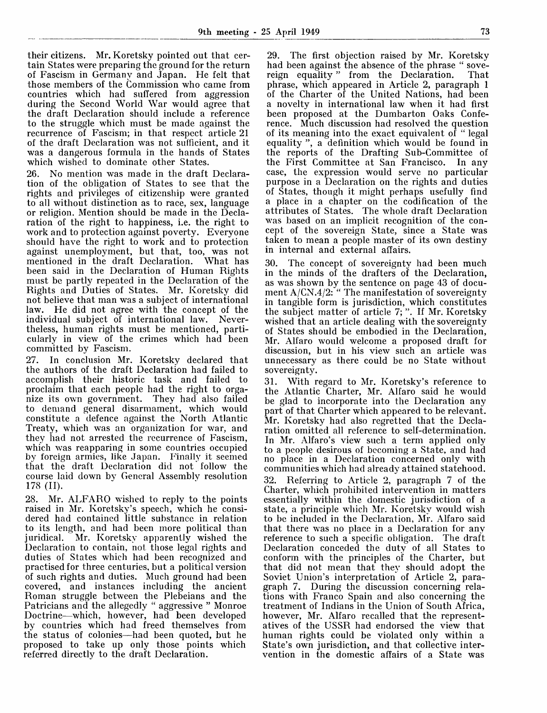their citizens. Mr. Koretsky pointed out that certain States were preparing the ground for the return of Fascism in Germany and Japan. He felt that those members of the Commission who came from countries which had suffered from aggression during the Second World War would agree that the draft Declaration should include a reference to the struggle which must be made against the recurrence of Fascism; in that respect article 21 of the draft Declaration was not sufficient, and it was a dangerous formula in the hands of States which wished to dominate other States.

26. No mention was made in the draft Declaration of the obligation of States to see that the rights and privileges of citizenship were granted to all without distinction as to race, sex, language or religion. Mention should be made in the Declaration of the right to happiness, i.e. the right to work and to protection against poverty. Everyone should have the right to work and to protection against unemployment, but that, too, was not mentioned in the draft Declaration. What has been said in the Declaration of Human Rights must be partly repeated in the Declaration of the Rights and Duties of States. Mr. Koretsky did not believe that man was a subject of international law. He did not agree with the concept of the individual subject of international law. Nevertheless, human rights must be mentioned, particularly in view of the crimes which had been committed by Fascism.

27. In conclusion Mr. Koretsky declared that the authors of the draft Declaration had failed to accomplish their historic task and failed to proclaim that each people had the right to organize its own government. They had also failed to demand general disarmament, which would constitute a defence against the North Atlantic Treaty, which was an organization for war, and they had not arrested the recurrence of Fascism, which was reapparing in some countries occupied by foreign armies, like Japan. Finally it seemed that the draft Declaration did not follow the course laid down bv General Assembly resolution 178 (II).

28. Mr. ALFARO wished to reply to the points raised in Mr. Koretsky's speech, which he considered had contained little substance in relation to its length, and had been more political than juridical. Mr. Koretsky apparently wished the Declaration to contain, not those legal rights and duties of States which had been recognized and practised for three centuries, but a political version of such rights and duties. Much ground had been covered, and instances including the ancient Roman struggle between the Plebeians and the Patricians and the allegedly " aggressive " Monroe Doctrine—which, however, had been developed by countries which had freed themselves from the status of colonies—had been quoted, but he proposed to take up only those points which referred directly to the draft Declaration.

29. The first objection raised by Mr. Koretsky had been against the absence of the phrase "sove-<br>reign equality" from the Declaration. That reign equality " from the Declaration. phrase, which appeared in Article 2, paragraph 1 of the Charter of the United Nations, had been a novelty in international law when it had first been proposed at the Dumbarton Oaks Conference. Much discussion had resolved the question of its meaning into the exact equivalent of " legal equality ", a definition which would be found in the reports of the Drafting Sub-Committee of<br>the First Committee at San Francisco. In any the First Committee at San Francisco. case, the expression would serve no particular purpose in a Declaration on the rights and duties of States, though it might perhaps usefully find a place in a chapter on the codification of the attributes of States. The whole draft Declaration was based on an implicit recognition of the concept of the sovereign State, since a State was taken to mean a people master of its own destiny in internal and external affairs.

30. The concept of sovereignty had been much in the minds of the drafters of the Declaration, as was shown by the sentence on page 43 of document A/CN.4/2: " The manifestation of sovereignty in tangible form is jurisdiction, which constitutes the subject matter of article 7; ". If Mr. Koretsky wished that an article dealing with the sovereignty of States should be embodied in the Declaration, Mr. Alfaro would welcome a proposed draft for discussion, but in his view such an article was unnecessary as there could be no State without sovereignty.

31. With regard to Mr. Koretsky's reference to the Atlantic Charter, Mr. Alfaro said he would be glad to incorporate into the Declaration any part of that Charter which appeared to be relevant. Mr. Koretsky had also regretted that the Declaration omitted all reference to self-determination. In Mr. Alfaro's view such a term applied only to a people desirous of becoming a State, and had no place in a Declaration concerned only with communities which had already attained statehood. 32. Referring to Article 2, paragraph 7 of the Charter, which prohibited intervention in matters essentially within the domestic jurisdiction of a state, a principle which Mr. Koretsky would wish to be included in the Declaration, Mr. Alfaro said that there was no place in a Declaration for any reference to such a specific obligation. The draft Declaration conceded the duty of all States to conform with the principles of the Charter, but that did not mean that they should adopt the Soviet Union's interpretation of Article 2, paragraph 7. During the discussion concerning relations with Franco Spain and also concerning the treatment of Indians in the Union of South Africa, however, Mr. Alfaro recalled that the representatives of the USSR had endorsed the view that human rights could be violated only within a State's own jurisdiction, and that collective intervention in the domestic affairs of a State was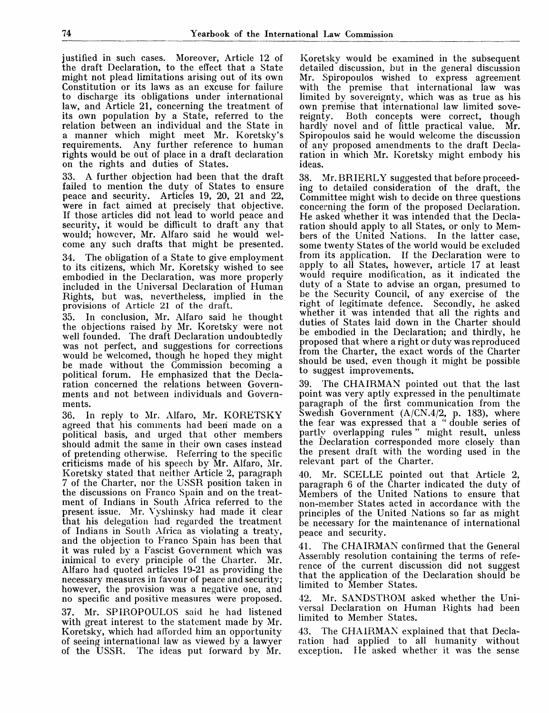justified in such cases. Moreover, Article 12 of the draft Declaration, to the effect that a State might not plead limitations arising out of its own Constitution or its laws as an excuse for failure to discharge its obligations under international law, and Article 21, concerning the treatment of its own population by a State, referred to the relation between an individual and the State in a manner which might meet Mr. Koretsky's requirements. Any further reference to human rights would be out of place in a draft declaration on the rights and duties of States.

33. A further objection had been that the draft failed to mention the duty of States to ensure peace and security. Articles 19, 20, 21 and 22, were in fact aimed at precisely that objective. If those articles did not lead to world peace and security, it would be difficult to draft any that would; however, Mr. Alfaro said he would welcome any such drafts that might be presented.

34. The obligation of a State to give employment to its citizens, which Mr. Koretsky wished to see embodied in the Declaration, was more properly included in the Universal Declaration of Human Rights, but was, nevertheless, implied in the provisions of Article 21 of the draft.

35. In conclusion, Mr. Alfaro said he thought the objections raised by Mr. Koretsky were not well founded. The draft Declaration undoubtedly was not perfect, and suggestions for corrections would be welcomed, though he hoped they might be made without the Commission becoming a political forum. He emphasized that the Declaration concerned the relations between Governments and not between individuals and Governments.

36. In reply to Mr. Alfaro, Mr. KORETSKY agreed that his comments had been made on a political basis, and urged that other members should admit the same in their own cases instead of pretending otherwise. Referring to the specific criticisms made of his speech by Mr. Alfaro, Mr. Koretsky stated that neither Article 2, paragraph 7 of the Charter, nor the USSR position taken in the discussions on Franco Spain and on the treatment of Indians in South Africa referred to the present issue. Mr. Vyshinsky had made it clear that his delegation had regarded the treatment of Indians in South Africa as violating a treaty, and the objection to Franco Spain has been that it was ruled by a Fascist Government which was inimical to every principle of the Charter. Mr. Alfaro had quoted articles 19-21 as providing the necessary measures in favour of peace and security; however, the provision was a negative one, and no specific and positive measures were proposed.

37. Mr. SPIROPOULOS said he had listened with great interest to the statement made by Mr. Koretsky, which had afforded him an opportunity of seeing international law as viewed by a lawyer of the USSR. The ideas put forward by Mr.

Koretsky would be examined in the subsequent detailed discussion, but in the general discussion Mr. Spiropoulos wished to express agreement with the premise that international law was limited by sovereignty, which was as true as his own premise that international law limited sove-<br>reignty. Both concepts were correct, though Both concepts were correct, though hardly novel and of little practical value. Mr. Spiropoulos said he would welcome the discussion of any proposed amendments to the draft Declaration in which Mr. Koretsky might embody his ideas.

38. Mr.BRIERLY suggested that before proceeding to detailed consideration of the draft, the Committee might wish to decide on three questions concerning the form of the proposed Declaration. He asked whether it was intended that the Declaration should apply to all States, or only to Members of the United Nations. In the latter case, some twenty States of the world would be excluded from its application. If the Declaration were to apply to all States, however, article 17 at least would require modification, as it indicated the duty of a State to advise an organ, presumed to be the Security Council, of any exercise of the right of legitimate defence. Secondly, he asked whether it was intended that all the rights and duties of States laid down in the Charter should be embodied in the Declaration; and thirdly, he proposed that where a right or duty was reproduced from the Charter, the exact words of the Charter should be used, even though it might be possible to suggest improvements.

39. The CHAIRMAN pointed out that the last point was very aptly expressed in the penultimate paragraph of the first communication from the Swedish Government (A/CN.4/2, p. 183), where the fear was expressed that a " double series of partly overlapping rules" might result, unless the Declaration corresponded more closely than the present draft with the wording used in the relevant part of the Charter.

40. Mr. SCELLE pointed out that Article 2, paragraph 6 of the Charter indicated the duty of Members of the United Nations to ensure that non-member States acted in accordance with the principles of the United Nations so far as might be necessary for the maintenance of international peace and security.

41. The CHAIRMAN confirmed that the General Assembly resolution containing the terms of reference of the current discussion did not suggest that the application of the Declaration should be limited to Member States.

42. Mr. SANDSTROM asked whether the Universal Declaration on Human Rights had been limited to Member States.

43. The CHAIRMAN explained that that Declaration had applied to all humanity without exception. He asked whether it was the sense